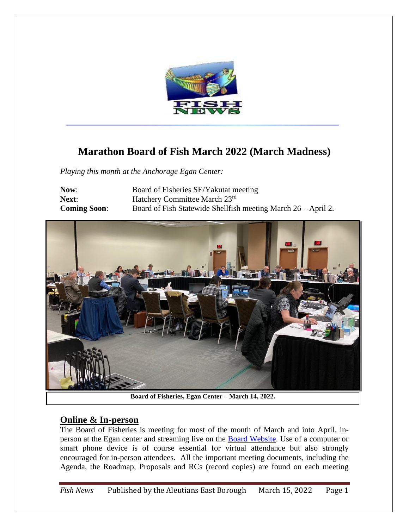

# **Marathon Board of Fish March 2022 (March Madness)**

*Playing this month at the Anchorage Egan Center:*

**Now:** Board of Fisheries SE/Yakutat meeting **Next:** Hatchery Committee March 23<sup>rd</sup> **Coming Soon:** Board of Fish Statewide Shellfish meeting March 26 – April 2.



**Board of Fisheries, Egan Center – March 14, 2022.**

### **Online & In-person**

The Board of Fisheries is meeting for most of the month of March and into April, inperson at the Egan center and streaming live on the [Board Website.](http://www.adfg.alaska.gov/index.cfm?adfg=fisheriesboard.main) Use of a computer or smart phone device is of course essential for virtual attendance but also strongly encouraged for in-person attendees. All the important meeting documents, including the Agenda, the Roadmap, Proposals and RCs (record copies) are found on each meeting

*Fish News* Published by the Aleutians East Borough March 15, 2022 Page 1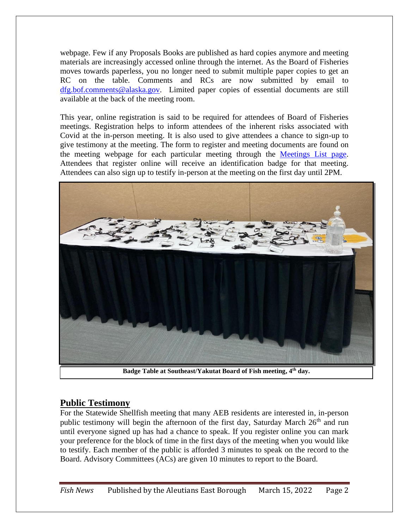webpage. Few if any Proposals Books are published as hard copies anymore and meeting materials are increasingly accessed online through the internet. As the Board of Fisheries moves towards paperless, you no longer need to submit multiple paper copies to get an RC on the table. Comments and RCs are now submitted by email to [dfg.bof.comments@alaska.gov.](mailto:dfg.bof.comments@alaska.gov) Limited paper copies of essential documents are still available at the back of the meeting room.

This year, online registration is said to be required for attendees of Board of Fisheries meetings. Registration helps to inform attendees of the inherent risks associated with Covid at the in-person meeting. It is also used to give attendees a chance to sign-up to give testimony at the meeting. The form to register and meeting documents are found on the meeting webpage for each particular meeting through the [Meetings List page.](http://www.adfg.alaska.gov/index.cfm?adfg=fisheriesboard.meetinginfo) Attendees that register online will receive an identification badge for that meeting. Attendees can also sign up to testify in-person at the meeting on the first day until 2PM.



**Badge Table at Southeast/Yakutat Board of Fish meeting, 4th day.**

### **Public Testimony**

For the Statewide Shellfish meeting that many AEB residents are interested in, in-person public testimony will begin the afternoon of the first day, Saturday March 26<sup>th</sup> and run until everyone signed up has had a chance to speak. If you register online you can mark your preference for the block of time in the first days of the meeting when you would like to testify. Each member of the public is afforded 3 minutes to speak on the record to the Board. Advisory Committees (ACs) are given 10 minutes to report to the Board.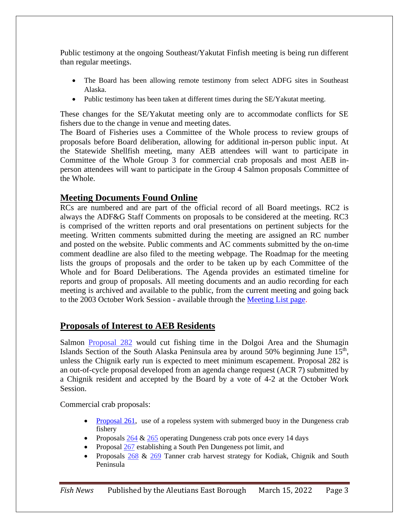Public testimony at the ongoing Southeast/Yakutat Finfish meeting is being run different than regular meetings.

- The Board has been allowing remote testimony from select ADFG sites in Southeast Alaska.
- Public testimony has been taken at different times during the SE/Yakutat meeting.

These changes for the SE/Yakutat meeting only are to accommodate conflicts for SE fishers due to the change in venue and meeting dates.

The Board of Fisheries uses a Committee of the Whole process to review groups of proposals before Board deliberation, allowing for additional in-person public input. At the Statewide Shellfish meeting, many AEB attendees will want to participate in Committee of the Whole Group 3 for commercial crab proposals and most AEB inperson attendees will want to participate in the Group 4 Salmon proposals Committee of the Whole.

### **Meeting Documents Found Online**

RCs are numbered and are part of the official record of all Board meetings. RC2 is always the ADF&G Staff Comments on proposals to be considered at the meeting. RC3 is comprised of the written reports and oral presentations on pertinent subjects for the meeting. Written comments submitted during the meeting are assigned an RC number and posted on the website. Public comments and AC comments submitted by the on-time comment deadline are also filed to the meeting webpage. The Roadmap for the meeting lists the groups of proposals and the order to be taken up by each Committee of the Whole and for Board Deliberations. The Agenda provides an estimated timeline for reports and group of proposals. All meeting documents and an audio recording for each meeting is archived and available to the public, from the current meeting and going back to the 2003 October Work Session - available through the [Meeting List page.](http://www.adfg.alaska.gov/index.cfm?adfg=fisheriesboard.meetinginfo)

## **Proposals of Interest to AEB Residents**

Salmon [Proposal 282](http://www.adfg.alaska.gov/static-f/regulations/regprocess/fisheriesboard/pdfs/2021-2022/proposals/282.pdf) would cut fishing time in the Dolgoi Area and the Shumagin Islands Section of the South Alaska Peninsula area by around  $50\%$  beginning June  $15<sup>th</sup>$ , unless the Chignik early run is expected to meet minimum escapement. Proposal 282 is an out-of-cycle proposal developed from an agenda change request (ACR 7) submitted by a Chignik resident and accepted by the Board by a vote of 4-2 at the October Work Session.

Commercial crab proposals:

- [Proposal 261,](http://www.adfg.alaska.gov/static-f/regulations/regprocess/fisheriesboard/pdfs/2021-2022/proposals/261.pdf) use of a ropeless system with submerged buoy in the Dungeness crab fishery
- Proposals  $264 \& 265$  $264 \& 265$  operating Dungeness crab pots once every 14 days
- Proposal  $\frac{267}{268}$  establishing a South Pen Dungeness pot limit, and
- Proposals [268](http://www.adfg.alaska.gov/static-f/regulations/regprocess/fisheriesboard/pdfs/2021-2022/proposals/268.pdf) & [269](http://www.adfg.alaska.gov/static-f/regulations/regprocess/fisheriesboard/pdfs/2021-2022/proposals/269.pdf) Tanner crab harvest strategy for Kodiak, Chignik and South Peninsula